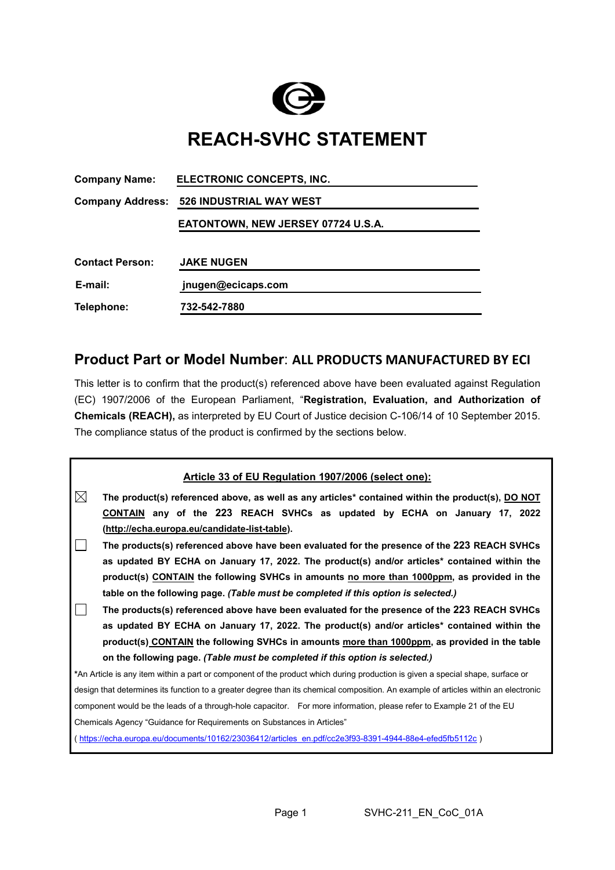

## **REACH-SVHC STATEMENT**

| <b>Company Name:</b>    | ELECTRONIC CONCEPTS, INC.          |  |  |  |  |
|-------------------------|------------------------------------|--|--|--|--|
| <b>Company Address:</b> | <b>526 INDUSTRIAL WAY WEST</b>     |  |  |  |  |
|                         | EATONTOWN, NEW JERSEY 07724 U.S.A. |  |  |  |  |
|                         |                                    |  |  |  |  |
| <b>Contact Person:</b>  | <b>JAKE NUGEN</b>                  |  |  |  |  |
| E-mail:                 | jnugen@ecicaps.com                 |  |  |  |  |
| Telephone:              | 732-542-7880                       |  |  |  |  |

## **Product Part or Model Number**: **ALL PRODUCTS MANUFACTURED BY ECI**

This letter is to confirm that the product(s) referenced above have been evaluated against Regulation (EC) 1907/2006 of the European Parliament, "**Registration, Evaluation, and Authorization of Chemicals (REACH),** as interpreted by EU Court of Justice decision C-106/14 of 10 September 2015. The compliance status of the product is confirmed by the sections below.

| Article 33 of EU Regulation 1907/2006 (select one):                                                                                |  |  |  |  |  |  |  |
|------------------------------------------------------------------------------------------------------------------------------------|--|--|--|--|--|--|--|
| ⊠<br>The product(s) referenced above, as well as any articles* contained within the product(s), DO NOT                             |  |  |  |  |  |  |  |
| CONTAIN any of the 223 REACH SVHCs as updated by ECHA on January 17, 2022                                                          |  |  |  |  |  |  |  |
| (http://echa.europa.eu/candidate-list-table).                                                                                      |  |  |  |  |  |  |  |
| The products(s) referenced above have been evaluated for the presence of the 223 REACH SVHCs                                       |  |  |  |  |  |  |  |
| as updated BY ECHA on January 17, 2022. The product(s) and/or articles* contained within the                                       |  |  |  |  |  |  |  |
| product(s) CONTAIN the following SVHCs in amounts no more than 1000ppm, as provided in the                                         |  |  |  |  |  |  |  |
| table on the following page. (Table must be completed if this option is selected.)                                                 |  |  |  |  |  |  |  |
| The products(s) referenced above have been evaluated for the presence of the 223 REACH SVHCs                                       |  |  |  |  |  |  |  |
| as updated BY ECHA on January 17, 2022. The product(s) and/or articles* contained within the                                       |  |  |  |  |  |  |  |
| product(s) CONTAIN the following SVHCs in amounts more than 1000ppm, as provided in the table                                      |  |  |  |  |  |  |  |
| on the following page. (Table must be completed if this option is selected.)                                                       |  |  |  |  |  |  |  |
| *An Article is any item within a part or component of the product which during production is given a special shape, surface or     |  |  |  |  |  |  |  |
| design that determines its function to a greater degree than its chemical composition. An example of articles within an electronic |  |  |  |  |  |  |  |
| component would be the leads of a through-hole capacitor. For more information, please refer to Example 21 of the EU               |  |  |  |  |  |  |  |
| Chemicals Agency "Guidance for Requirements on Substances in Articles"                                                             |  |  |  |  |  |  |  |
| (https://echa.europa.eu/documents/10162/23036412/articles en.pdf/cc2e3f93-8391-4944-88e4-efed5fb5112c)                             |  |  |  |  |  |  |  |